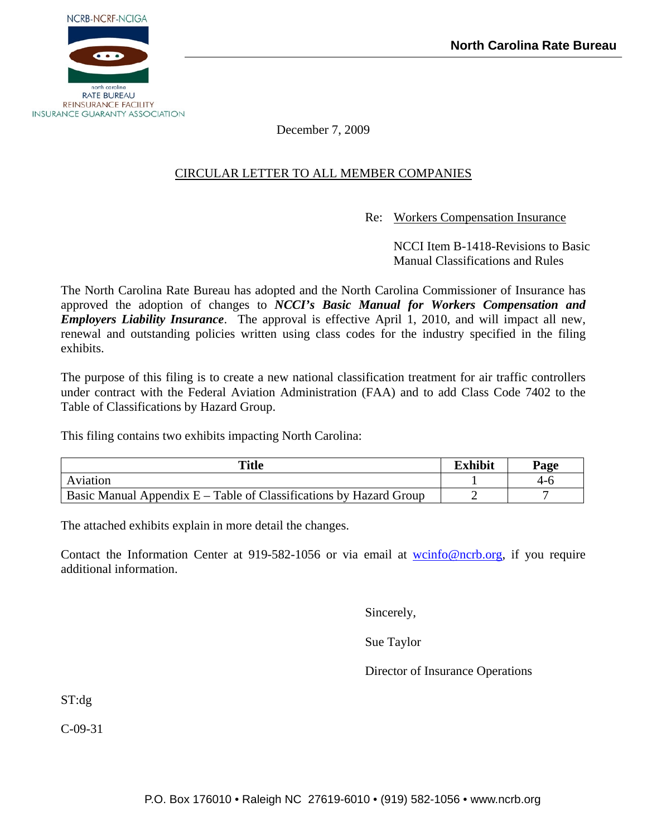

December 7, 2009

# CIRCULAR LETTER TO ALL MEMBER COMPANIES

Re: Workers Compensation Insurance

 NCCI Item B-1418-Revisions to Basic Manual Classifications and Rules

The North Carolina Rate Bureau has adopted and the North Carolina Commissioner of Insurance has approved the adoption of changes to *NCCI's Basic Manual for Workers Compensation and Employers Liability Insurance*. The approval is effective April 1, 2010, and will impact all new, renewal and outstanding policies written using class codes for the industry specified in the filing exhibits.

The purpose of this filing is to create a new national classification treatment for air traffic controllers under contract with the Federal Aviation Administration (FAA) and to add Class Code 7402 to the Table of Classifications by Hazard Group.

This filing contains two exhibits impacting North Carolina:

| <b>Title</b>                                                         | <b>Exhibit</b> | Page |
|----------------------------------------------------------------------|----------------|------|
| Aviation                                                             |                | 4-ก  |
| Basic Manual Appendix $E - Table$ of Classifications by Hazard Group |                |      |

The attached exhibits explain in more detail the changes.

Contact the Information Center at 919-582-1056 or via email at [wcinfo@ncrb.org,](mailto:wcinfo@ncrb.org) if you require additional information.

Sincerely,

Sue Taylor

Director of Insurance Operations

ST:dg

C-09-31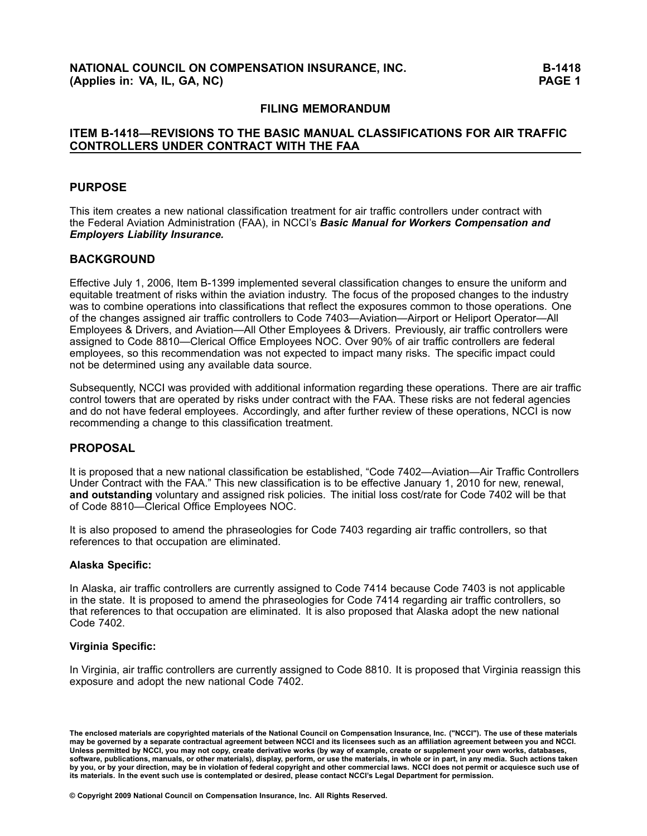#### **FILING MEMORANDUM**

### **ITEM B1418—REVISIONS TO THE BASIC MANUAL CLASSIFICATIONS FOR AIR TRAFFIC CONTROLLERS UNDER CONTRACT WITH THE FAA**

### **PURPOSE**

This item creates <sup>a</sup> new national classification treatment for air traffic controllers under contract with the Federal Aviation Administration (FAA), in NCCI's *Basic Manual for Workers Compensation and Employers Liability Insurance.*

### **BACKGROUND**

Effective July 1, 2006, Item B-1399 implemented several classification changes to ensure the uniform and equitable treatment of risks within the aviation industry. The focus of the proposed changes to the industry was to combine operations into classifications that reflect the exposures common to those operations. One of the changes assigned air traffic controllers to Code 7403—Aviation—Airport or Heliport Operator—All Employees & Drivers, and Aviation—All Other Employees & Drivers. Previously, air traffic controllers were assigned to Code 8810—Clerical Office Employees NOC. Over 90% of air traffic controllers are federal employees, so this recommendation was not expected to impact many risks. The specific impact could not be determined using any available data source.

Subsequently, NCCI was provided with additional information regarding these operations. There are air traffic control towers that are operated by risks under contract with the FAA. These risks are not federal agencies and do not have federal employees. Accordingly, and after further review of these operations, NCCI is now recommending <sup>a</sup> change to this classification treatment.

#### **PROPOSAL**

It is proposed that <sup>a</sup> new national classification be established, "Code 7402—Aviation—Air Traffic Controllers Under Contract with the FAA." This new classification is to be effective January 1, <sup>2010</sup> for new, renewal, **and outstanding** voluntary and assigned risk policies. The initial loss cost/rate for Code <sup>7402</sup> will be that of Code 8810—Clerical Office Employees NOC.

It is also proposed to amend the phraseologies for Code <sup>7403</sup> regarding air traffic controllers, so that references to that occupation are eliminated.

#### **Alaska Specific:**

In Alaska, air traffic controllers are currently assigned to Code <sup>7414</sup> because Code <sup>7403</sup> is not applicable in the state. It is proposed to amend the phraseologies for Code <sup>7414</sup> regarding air traffic controllers, so that references to that occupation are eliminated. It is also proposed that Alaska adopt the new national Code 7402.

#### **Virginia Specific:**

In Virginia, air traffic controllers are currently assigned to Code 8810. It is proposed that Virginia reassign this exposure and adopt the new national Code 7402.

The enclosed materials are copyrighted materials of the National Council on Compensation Insurance, Inc. ("NCCI"). The use of these materials may be governed by a separate contractual agreement between NCCI and its licensees such as an affiliation agreement between you and NCCI. Unless permitted by NCCI, you may not copy, create derivative works (by way of example, create or supplement your own works, databases, software, publications, manuals, or other materials), display, perform, or use the materials, in whole or in part, in any media. Such actions taken by you, or by your direction, may be in violation of federal copyright and other commercial laws. NCCI does not permit or acquiesce such use of its materials. In the event such use is contemplated or desired, please contact NCCI's Legal Department for permission.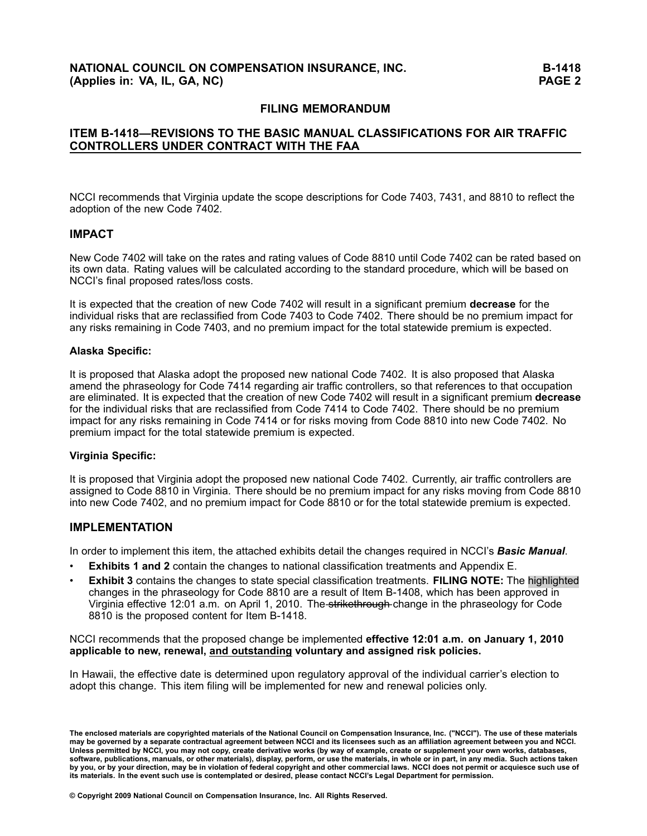### **FILING MEMORANDUM**

### **ITEM B1418—REVISIONS TO THE BASIC MANUAL CLASSIFICATIONS FOR AIR TRAFFIC CONTROLLERS UNDER CONTRACT WITH THE FAA**

NCCI recommends that Virginia update the scope descriptions for Code 7403, 7431, and <sup>8810</sup> to reflect the adoption of the new Code 7402.

#### **IMPACT**

New Code <sup>7402</sup> will take on the rates and rating values of Code <sup>8810</sup> until Code <sup>7402</sup> can be rated based on its own data. Rating values will be calculated according to the standard procedure, which will be based on NCCI's final proposed rates/loss costs.

It is expected that the creation of new Code <sup>7402</sup> will result in <sup>a</sup> significant premium **decrease** for the individual risks that are reclassified from Code <sup>7403</sup> to Code 7402. There should be no premium impact for any risks remaining in Code 7403, and no premium impact for the total statewide premium is expected.

#### **Alaska Specific:**

It is proposed that Alaska adopt the proposed new national Code 7402. It is also proposed that Alaska amend the phraseology for Code <sup>7414</sup> regarding air traffic controllers, so that references to that occupation are eliminated. It is expected that the creation of new Code <sup>7402</sup> will result in <sup>a</sup> significant premium **decrease** for the individual risks that are reclassified from Code <sup>7414</sup> to Code 7402. There should be no premium impact for any risks remaining in Code <sup>7414</sup> or for risks moving from Code <sup>8810</sup> into new Code 7402. No premium impact for the total statewide premium is expected.

#### **Virginia Specific:**

It is proposed that Virginia adopt the proposed new national Code 7402. Currently, air traffic controllers are assigned to Code <sup>8810</sup> in Virginia. There should be no premium impact for any risks moving from Code <sup>8810</sup> into new Code 7402, and no premium impact for Code <sup>8810</sup> or for the total statewide premium is expected.

### **IMPLEMENTATION**

In order to implement this item, the attached exhibits detail the changes required in NCCI's *Basic Manual*.

- •**Exhibits <sup>1</sup> and <sup>2</sup>** contain the changes to national classification treatments and Appendix E.
- • **Exhibit <sup>3</sup>** contains the changes to state special classification treatments. **FILING NOTE:** The highlighted changes in the phraseology for Code 8810 are a result of Item B-1408, which has been approved in Virginia effective 12:01 a.m. on April 1, 2010. The strikethrough change in the phraseology for Code 8810 is the proposed content for Item B-1418.

NCCI recommends that the proposed change be implemented **effective 12:01 a.m. on January 1, <sup>2010</sup> applicable to new, renewal, and outstanding voluntary and assigned risk policies.**

In Hawaii, the effective date is determined upon regulatory approval of the individual carrier's election to adopt this change. This item filing will be implemented for new and renewal policies only.

The enclosed materials are copyrighted materials of the National Council on Compensation Insurance, Inc. ("NCCI"). The use of these materials may be governed by a separate contractual agreement between NCCI and its licensees such as an affiliation agreement between you and NCCI. Unless permitted by NCCI, you may not copy, create derivative works (by way of example, create or supplement your own works, databases, software, publications, manuals, or other materials), display, perform, or use the materials, in whole or in part, in any media. Such actions taken by you, or by your direction, may be in violation of federal copyright and other commercial laws. NCCI does not permit or acquiesce such use of its materials. In the event such use is contemplated or desired, please contact NCCI's Legal Department for permission.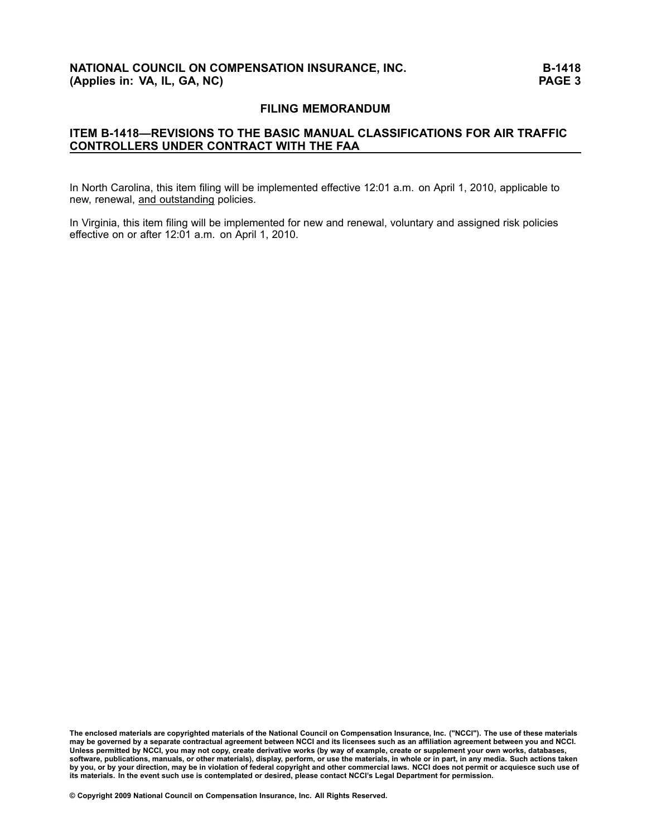### **FILING MEMORANDUM**

### **ITEM B1418—REVISIONS TO THE BASIC MANUAL CLASSIFICATIONS FOR AIR TRAFFIC CONTROLLERS UNDER CONTRACT WITH THE FAA**

In North Carolina, this item filing will be implemented effective 12:01 a.m. on April 1, 2010, applicable to new, renewal, and outstanding policies.

In Virginia, this item filing will be implemented for new and renewal, voluntary and assigned risk policies effective on or after 12:01 a.m. on April 1, 2010.

The enclosed materials are copyrighted materials of the National Council on Compensation Insurance, Inc. ("NCCI"). The use of these materials may be governed by a separate contractual agreement between NCCI and its licensees such as an affiliation agreement between you and NCCI. Unless permitted by NCCI, you may not copy, create derivative works (by way of example, create or supplement your own works, databases, software, publications, manuals, or other materials), display, perform, or use the materials, in whole or in part, in any media. Such actions taken<br>by you, at hy your direction, moy be in violation of federal convright and by you, or by your direction, may be in violation of federal copyright and other commercial laws. NCCI does not permit or acquiesce such use of<br>its materials, in the event such use in ventamplated as desired, along places its materials. In the event such use is contemplated or desired, please contact NCCI's Legal Department for permission.<br>'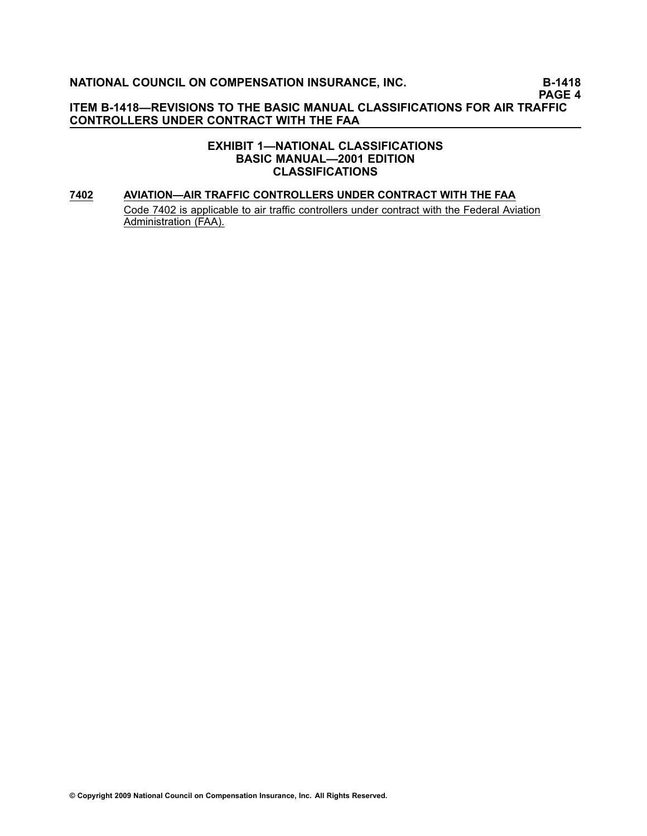# **ITEM B1418—REVISIONS TO THE BASIC MANUAL CLASSIFICATIONS FOR AIR TRAFFIC CONTROLLERS UNDER CONTRACT WITH THE FAA**

#### **EXHIBIT 1—NATIONAL CLASSIFICATIONS BASIC MANUAL—2001 EDITION CLASSIFICATIONS**

### **[7402](file:///C:/manuscript/hyperlink.asp?docid=7402<?Pub & EntityName=amp>manualtitle=scopesxml) AVIATION—AIR TRAFFIC CONTROLLERS UNDER CONTRACT WITH THE FAA** Code 7402 is applicable to air traffic controllers under contract with the Federal Aviation Administration (FAA).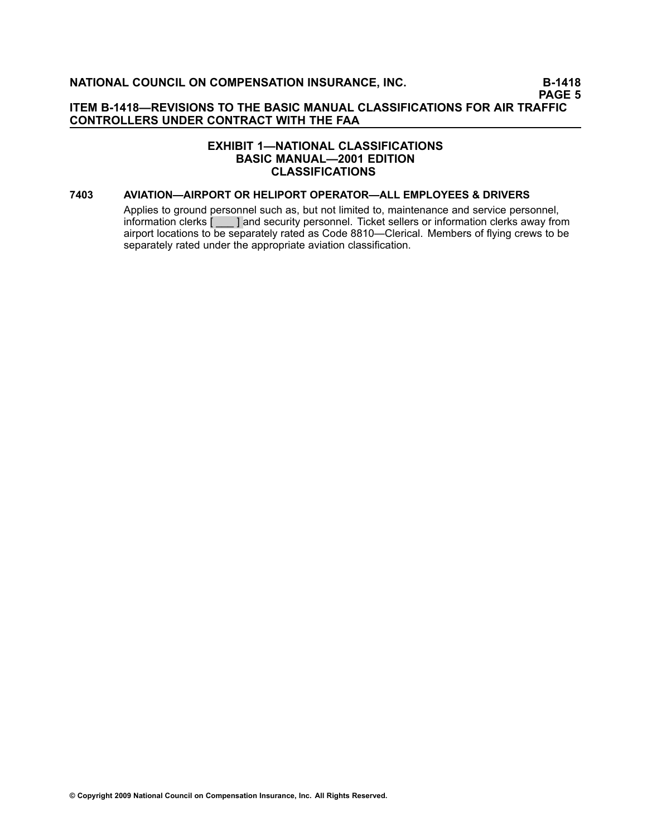### **ITEM B1418—REVISIONS TO THE BASIC MANUAL CLASSIFICATIONS FOR AIR TRAFFIC CONTROLLERS UNDER CONTRACT WITH THE FAA**

### **EXHIBIT 1—NATIONAL CLASSIFICATIONS BASIC MANUAL—2001 EDITION CLASSIFICATIONS**

#### **[7403](file:///C:/manuscript/hyperlink.asp?docid=7403<?Pub & EntityName=amp>manualtitle=scopesxml) AVIATION—AIRPORT OR HELIPORT OPERATOR—ALL EMPLOYEES & DRIVERS**

Applies to ground personnel such as, but not limited to, maintenance and service personnel, information clerks [ \_\_\_ ] and security personnel. Ticket sellers or information clerks away from airport locations to be separately rated as Code [8810](file:///C:/manuscript/hyperlink.asp?docid=8810<?Pub & EntityName=amp>manualtitle=scopesxml)—Clerical. Members of flying crews to be separately rated under the appropriate aviation classification.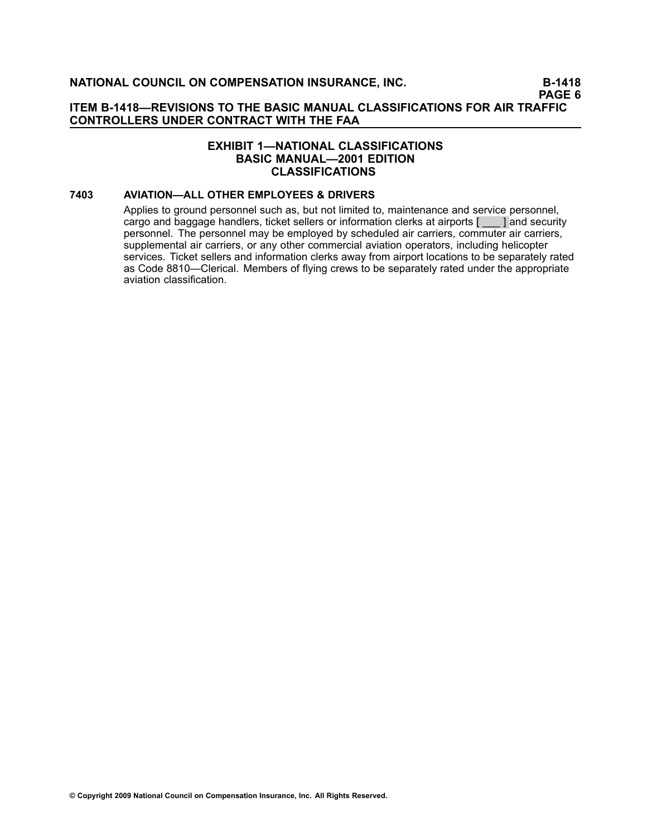### **ITEM B1418—REVISIONS TO THE BASIC MANUAL CLASSIFICATIONS FOR AIR TRAFFIC CONTROLLERS UNDER CONTRACT WITH THE FAA**

### **EXHIBIT 1—NATIONAL CLASSIFICATIONS BASIC MANUAL—2001 EDITION CLASSIFICATIONS**

#### **[7403](file:///C:/manuscript/hyperlink.asp?docid=7403<?Pub & EntityName=amp>manualtitle=scopesxml) AVIATION—ALL OTHER EMPLOYEES & DRIVERS**

Applies to ground personnel such as, but not limited to, maintenance and service personnel, cargo and baggage handlers, ticket sellers or information clerks at airports [ \_\_\_ ] and security personnel. The personnel may be employed by scheduled air carriers, commuter air carriers, supplemental air carriers, or any other commercial aviation operators, including helicopter services. Ticket sellers and information clerks away from airport locations to be separately rated as Code [8810—](file:///C:/manuscript/hyperlink.asp?docid=8810<?Pub & EntityName=amp>manualtitle=scopesxml)Clerical. Members of flying crews to be separately rated under the appropriate aviation classification.